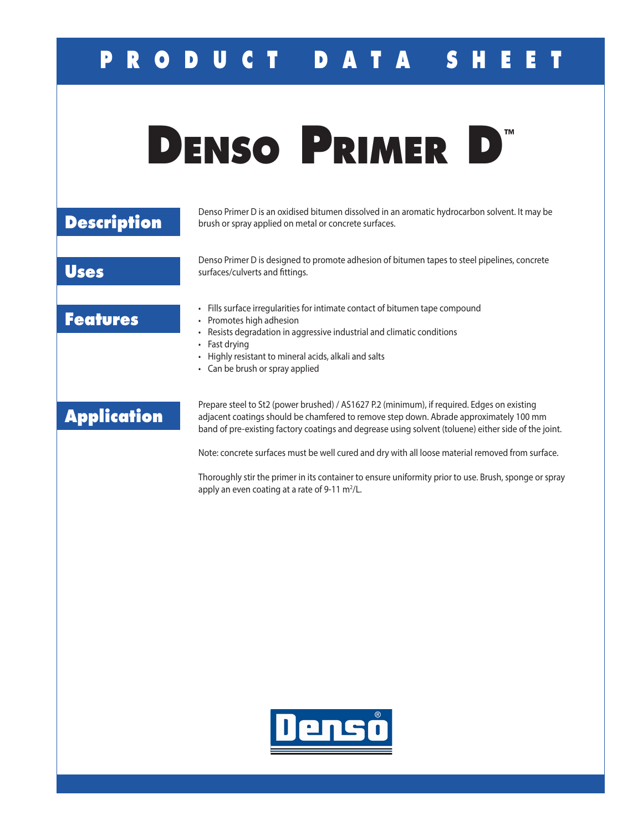## **P R O D U C T D A T A S H E E T**

|                    | TM<br><b>DENSO PRIMER</b>                                                                                                                                                                                                                                                                                                                                                                         |
|--------------------|---------------------------------------------------------------------------------------------------------------------------------------------------------------------------------------------------------------------------------------------------------------------------------------------------------------------------------------------------------------------------------------------------|
| <b>Description</b> | Denso Primer D is an oxidised bitumen dissolved in an aromatic hydrocarbon solvent. It may be<br>brush or spray applied on metal or concrete surfaces.                                                                                                                                                                                                                                            |
| <b>Uses</b>        | Denso Primer D is designed to promote adhesion of bitumen tapes to steel pipelines, concrete<br>surfaces/culverts and fittings.                                                                                                                                                                                                                                                                   |
| <b>Features</b>    | • Fills surface irregularities for intimate contact of bitumen tape compound<br>• Promotes high adhesion<br>Resists degradation in aggressive industrial and climatic conditions<br>• Fast drying<br>• Highly resistant to mineral acids, alkali and salts<br>• Can be brush or spray applied                                                                                                     |
| <b>Application</b> | Prepare steel to St2 (power brushed) / AS1627 P.2 (minimum), if required. Edges on existing<br>adjacent coatings should be chamfered to remove step down. Abrade approximately 100 mm<br>band of pre-existing factory coatings and degrease using solvent (toluene) either side of the joint.<br>Note: concrete surfaces must be well cured and dry with all loose material removed from surface. |

Thoroughly stir the primer in its container to ensure uniformity prior to use. Brush, sponge or spray apply an even coating at a rate of 9-11  $m^2/L$ .